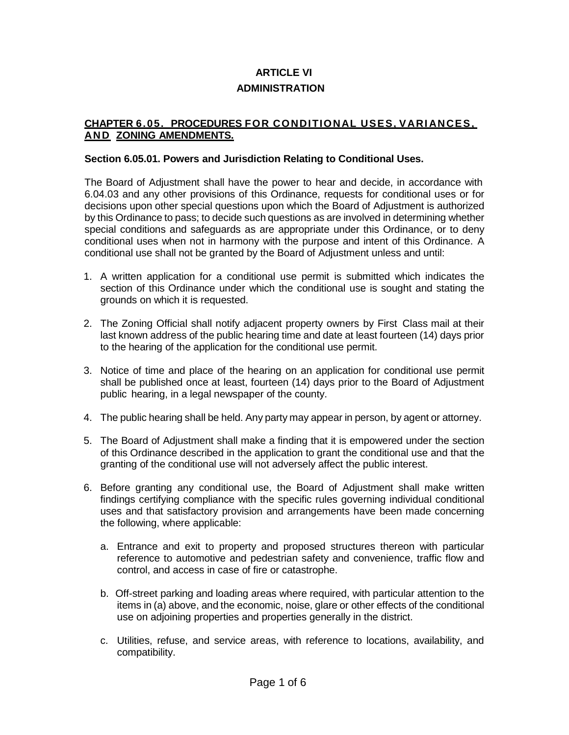# **ARTICLE VI ADMINISTRATION**

### **CHAPTER 6.05. PROCEDURES FOR CONDITIONAL USES, VARI ANCES, AN D ZONING AMENDMENTS.**

### **Section 6.05.01. Powers and Jurisdiction Relating to Conditional Uses.**

The Board of Adjustment shall have the power to hear and decide, in accordance with 6.04.03 and any other provisions of this Ordinance, requests for conditional uses or for decisions upon other special questions upon which the Board of Adjustment is authorized by this Ordinance to pass; to decide such questions as are involved in determining whether special conditions and safeguards as are appropriate under this Ordinance, or to deny conditional uses when not in harmony with the purpose and intent of this Ordinance. A conditional use shall not be granted by the Board of Adjustment unless and until:

- 1. A written application for a conditional use permit is submitted which indicates the section of this Ordinance under which the conditional use is sought and stating the grounds on which it is requested.
- 2. The Zoning Official shall notify adjacent property owners by First Class mail at their last known address of the public hearing time and date at least fourteen (14) days prior to the hearing of the application for the conditional use permit.
- 3. Notice of time and place of the hearing on an application for conditional use permit shall be published once at least, fourteen (14) days prior to the Board of Adjustment public hearing, in a legal newspaper of the county.
- 4. The public hearing shall be held. Any party may appear in person, by agent or attorney.
- 5. The Board of Adjustment shall make a finding that it is empowered under the section of this Ordinance described in the application to grant the conditional use and that the granting of the conditional use will not adversely affect the public interest.
- 6. Before granting any conditional use, the Board of Adjustment shall make written findings certifying compliance with the specific rules governing individual conditional uses and that satisfactory provision and arrangements have been made concerning the following, where applicable:
	- a. Entrance and exit to property and proposed structures thereon with particular reference to automotive and pedestrian safety and convenience, traffic flow and control, and access in case of fire or catastrophe.
	- b. Off-street parking and loading areas where required, with particular attention to the items in (a) above, and the economic, noise, glare or other effects of the conditional use on adjoining properties and properties generally in the district.
	- c. Utilities, refuse, and service areas, with reference to locations, availability, and compatibility.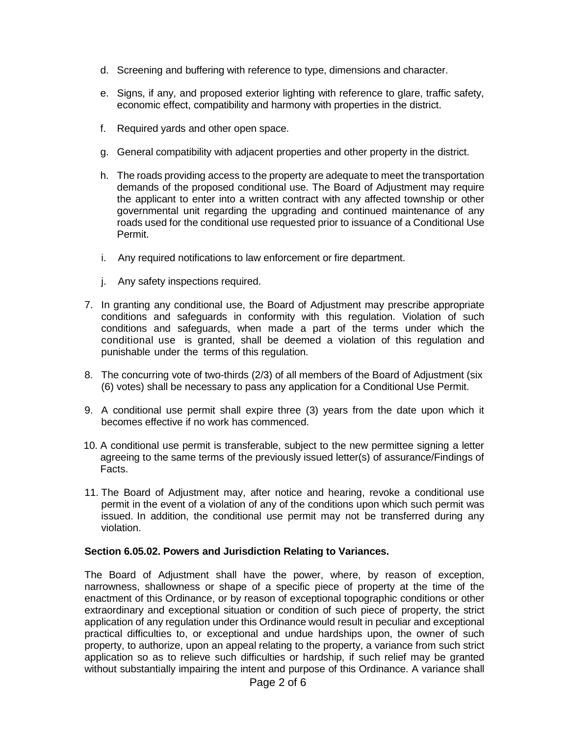- d. Screening and buffering with reference to type, dimensions and character.
- e. Signs, if any, and proposed exterior lighting with reference to glare, traffic safety, economic effect, compatibility and harmony with properties in the district.
- f. Required yards and other open space.
- g. General compatibility with adjacent properties and other property in the district.
- h. The roads providing access to the property are adequate to meet the transportation demands of the proposed conditional use. The Board of Adjustment may require the applicant to enter into a written contract with any affected township or other governmental unit regarding the upgrading and continued maintenance of any roads used for the conditional use requested prior to issuance of a Conditional Use Permit.
- i. Any required notifications to law enforcement or fire department.
- j. Any safety inspections required.
- 7. In granting any conditional use, the Board of Adjustment may prescribe appropriate conditions and safeguards in conformity with this regulation. Violation of such conditions and safeguards, when made a part of the terms under which the conditional use is granted, shall be deemed a violation of this regulation and punishable under the terms of this regulation.
- 8. The concurring vote of two-thirds (2/3) of all members of the Board of Adjustment (six (6) votes) shall be necessary to pass any application for a Conditional Use Permit.
- 9. A conditional use permit shall expire three (3) years from the date upon which it becomes effective if no work has commenced.
- 10. A conditional use permit is transferable, subject to the new permittee signing a letter agreeing to the same terms of the previously issued letter(s) of assurance/Findings of Facts.
- 11. The Board of Adjustment may, after notice and hearing, revoke a conditional use permit in the event of a violation of any of the conditions upon which such permit was issued. In addition, the conditional use permit may not be transferred during any violation.

#### **Section 6.05.02. Powers and Jurisdiction Relating to Variances.**

The Board of Adjustment shall have the power, where, by reason of exception, narrowness, shallowness or shape of a specific piece of property at the time of the enactment of this Ordinance, or by reason of exceptional topographic conditions or other extraordinary and exceptional situation or condition of such piece of property, the strict application of any regulation under this Ordinance would result in peculiar and exceptional practical difficulties to, or exceptional and undue hardships upon, the owner of such property, to authorize, upon an appeal relating to the property, a variance from such strict application so as to relieve such difficulties or hardship, if such relief may be granted without substantially impairing the intent and purpose of this Ordinance. A variance shall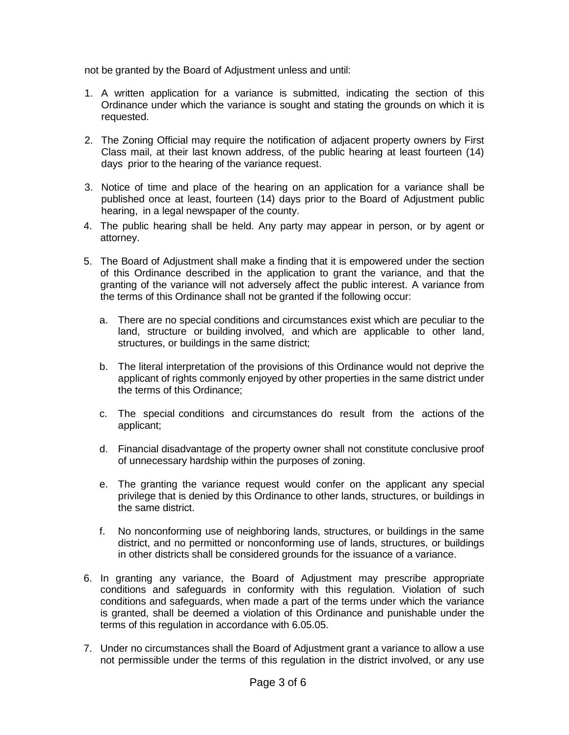not be granted by the Board of Adjustment unless and until:

- 1. A written application for a variance is submitted, indicating the section of this Ordinance under which the variance is sought and stating the grounds on which it is requested.
- 2. The Zoning Official may require the notification of adjacent property owners by First Class mail, at their last known address, of the public hearing at least fourteen (14) days prior to the hearing of the variance request.
- 3. Notice of time and place of the hearing on an application for a variance shall be published once at least, fourteen (14) days prior to the Board of Adjustment public hearing, in a legal newspaper of the county.
- 4. The public hearing shall be held. Any party may appear in person, or by agent or attorney.
- 5. The Board of Adjustment shall make a finding that it is empowered under the section of this Ordinance described in the application to grant the variance, and that the granting of the variance will not adversely affect the public interest. A variance from the terms of this Ordinance shall not be granted if the following occur:
	- a. There are no special conditions and circumstances exist which are peculiar to the land, structure or building involved, and which are applicable to other land, structures, or buildings in the same district;
	- b. The literal interpretation of the provisions of this Ordinance would not deprive the applicant of rights commonly enjoyed by other properties in the same district under the terms of this Ordinance;
	- c. The special conditions and circumstances do result from the actions of the applicant;
	- d. Financial disadvantage of the property owner shall not constitute conclusive proof of unnecessary hardship within the purposes of zoning.
	- e. The granting the variance request would confer on the applicant any special privilege that is denied by this Ordinance to other lands, structures, or buildings in the same district.
	- f. No nonconforming use of neighboring lands, structures, or buildings in the same district, and no permitted or nonconforming use of lands, structures, or buildings in other districts shall be considered grounds for the issuance of a variance.
- 6. In granting any variance, the Board of Adjustment may prescribe appropriate conditions and safeguards in conformity with this regulation. Violation of such conditions and safeguards, when made a part of the terms under which the variance is granted, shall be deemed a violation of this Ordinance and punishable under the terms of this regulation in accordance with 6.05.05.
- 7. Under no circumstances shall the Board of Adjustment grant a variance to allow a use not permissible under the terms of this regulation in the district involved, or any use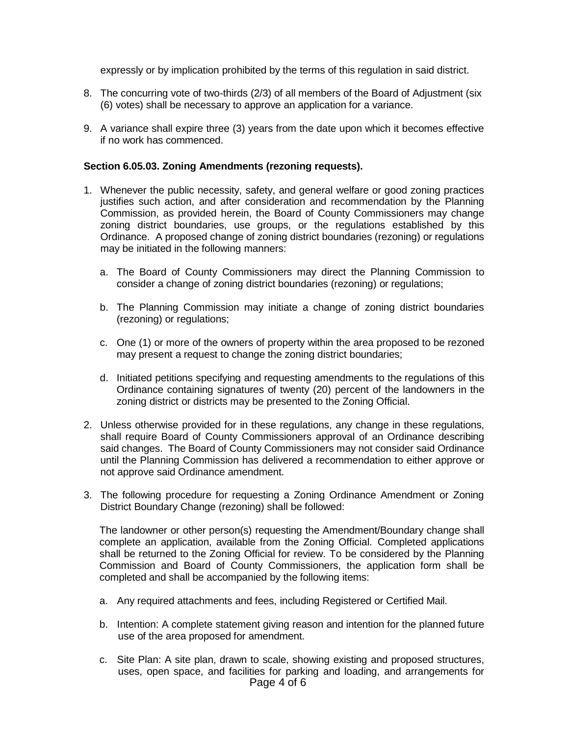expressly or by implication prohibited by the terms of this regulation in said district.

- 8. The concurring vote of two-thirds (2/3) of all members of the Board of Adjustment (six (6) votes) shall be necessary to approve an application for a variance.
- 9. A variance shall expire three (3) years from the date upon which it becomes effective if no work has commenced.

#### **Section 6.05.03. Zoning Amendments (rezoning requests).**

- 1. Whenever the public necessity, safety, and general welfare or good zoning practices justifies such action, and after consideration and recommendation by the Planning Commission, as provided herein, the Board of County Commissioners may change zoning district boundaries, use groups, or the regulations established by this Ordinance. A proposed change of zoning district boundaries (rezoning) or regulations may be initiated in the following manners:
	- a. The Board of County Commissioners may direct the Planning Commission to consider a change of zoning district boundaries (rezoning) or regulations;
	- b. The Planning Commission may initiate a change of zoning district boundaries (rezoning) or regulations;
	- c. One (1) or more of the owners of property within the area proposed to be rezoned may present a request to change the zoning district boundaries;
	- d. Initiated petitions specifying and requesting amendments to the regulations of this Ordinance containing signatures of twenty (20) percent of the landowners in the zoning district or districts may be presented to the Zoning Official.
- 2. Unless otherwise provided for in these regulations, any change in these regulations, shall require Board of County Commissioners approval of an Ordinance describing said changes. The Board of County Commissioners may not consider said Ordinance until the Planning Commission has delivered a recommendation to either approve or not approve said Ordinance amendment.
- 3. The following procedure for requesting a Zoning Ordinance Amendment or Zoning District Boundary Change (rezoning) shall be followed:

The landowner or other person(s) requesting the Amendment/Boundary change shall complete an application, available from the Zoning Official. Completed applications shall be returned to the Zoning Official for review. To be considered by the Planning Commission and Board of County Commissioners, the application form shall be completed and shall be accompanied by the following items:

- a. Any required attachments and fees, including Registered or Certified Mail.
- b. Intention: A complete statement giving reason and intention for the planned future use of the area proposed for amendment.
- Page 4 of 6 c. Site Plan: A site plan, drawn to scale, showing existing and proposed structures, uses, open space, and facilities for parking and loading, and arrangements for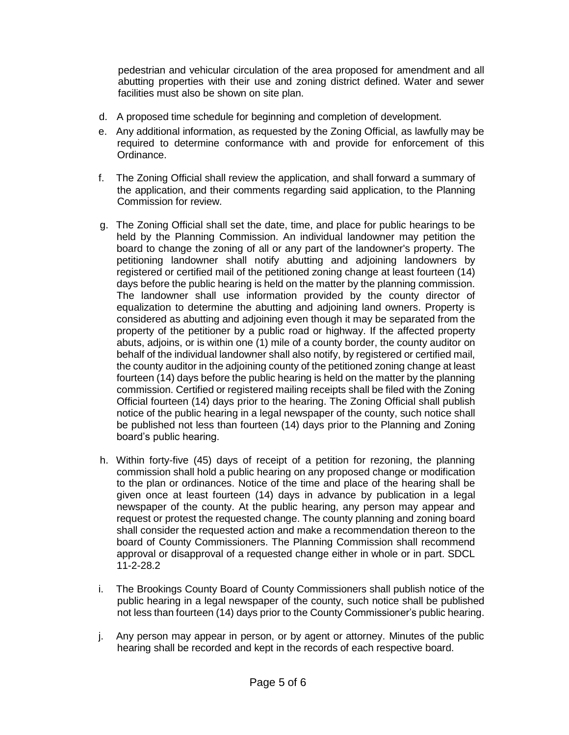pedestrian and vehicular circulation of the area proposed for amendment and all abutting properties with their use and zoning district defined. Water and sewer facilities must also be shown on site plan.

- d. A proposed time schedule for beginning and completion of development.
- e. Any additional information, as requested by the Zoning Official, as lawfully may be required to determine conformance with and provide for enforcement of this Ordinance.
- f. The Zoning Official shall review the application, and shall forward a summary of the application, and their comments regarding said application, to the Planning Commission for review.
- g. The Zoning Official shall set the date, time, and place for public hearings to be held by the Planning Commission. An individual landowner may petition the board to change the zoning of all or any part of the landowner's property. The petitioning landowner shall notify abutting and adjoining landowners by registered or certified mail of the petitioned zoning change at least fourteen (14) days before the public hearing is held on the matter by the planning commission. The landowner shall use information provided by the county director of equalization to determine the abutting and adjoining land owners. Property is considered as abutting and adjoining even though it may be separated from the property of the petitioner by a public road or highway. If the affected property abuts, adjoins, or is within one (1) mile of a county border, the county auditor on behalf of the individual landowner shall also notify, by registered or certified mail, the county auditor in the adjoining county of the petitioned zoning change at least fourteen (14) days before the public hearing is held on the matter by the planning commission. Certified or registered mailing receipts shall be filed with the Zoning Official fourteen (14) days prior to the hearing. The Zoning Official shall publish notice of the public hearing in a legal newspaper of the county, such notice shall be published not less than fourteen (14) days prior to the Planning and Zoning board's public hearing.
- h. Within forty-five (45) days of receipt of a petition for rezoning, the planning commission shall hold a public hearing on any proposed change or modification to the plan or ordinances. Notice of the time and place of the hearing shall be given once at least fourteen (14) days in advance by publication in a legal newspaper of the county. At the public hearing, any person may appear and request or protest the requested change. The county planning and zoning board shall consider the requested action and make a recommendation thereon to the board of County Commissioners. The Planning Commission shall recommend approval or disapproval of a requested change either in whole or in part. SDCL 11-2-28.2
- i. The Brookings County Board of County Commissioners shall publish notice of the public hearing in a legal newspaper of the county, such notice shall be published not less than fourteen (14) days prior to the County Commissioner's public hearing.
- j. Any person may appear in person, or by agent or attorney. Minutes of the public hearing shall be recorded and kept in the records of each respective board.